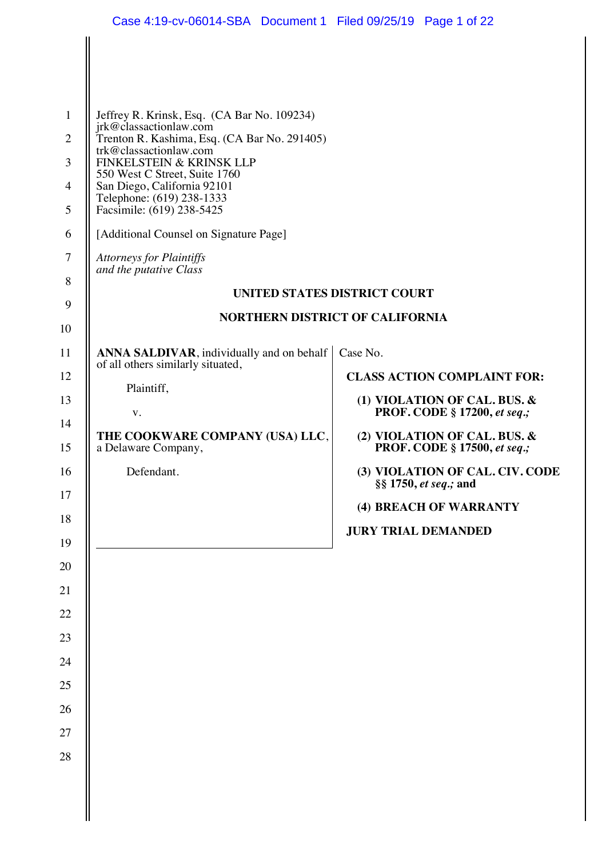|                | Case 4:19-cv-06014-SBA Document 1 Filed 09/25/19 Page 1 of 22                                    |                                                                     |
|----------------|--------------------------------------------------------------------------------------------------|---------------------------------------------------------------------|
|                |                                                                                                  |                                                                     |
|                |                                                                                                  |                                                                     |
|                |                                                                                                  |                                                                     |
| $\mathbf{1}$   | Jeffrey R. Krinsk, Esq. (CA Bar No. 109234)                                                      |                                                                     |
| $\overline{2}$ | jrk@classactionlaw.com<br>Trenton R. Kashima, Esq. (CA Bar No. 291405)<br>trk@classactionlaw.com |                                                                     |
| 3              | FINKELSTEIN & KRINSK LLP<br>550 West C Street, Suite 1760                                        |                                                                     |
| 4              | San Diego, California 92101<br>Telephone: (619) 238-1333                                         |                                                                     |
| 5              | Facsimile: (619) 238-5425                                                                        |                                                                     |
| 6              | [Additional Counsel on Signature Page]                                                           |                                                                     |
| 7              | <b>Attorneys for Plaintiffs</b><br>and the putative Class                                        |                                                                     |
| $8\,$<br>9     |                                                                                                  | UNITED STATES DISTRICT COURT                                        |
| 10             |                                                                                                  | <b>NORTHERN DISTRICT OF CALIFORNIA</b>                              |
| 11             | ANNA SALDIVAR, individually and on behalf                                                        | Case No.                                                            |
| 12             | of all others similarly situated,                                                                | <b>CLASS ACTION COMPLAINT FOR:</b>                                  |
| 13             | Plaintiff,                                                                                       | (1) VIOLATION OF CAL. BUS. &                                        |
| 14             | ${\bf V}$ .<br>THE COOKWARE COMPANY (USA) LLC,                                                   | <b>PROF. CODE § 17200, et seq.;</b>                                 |
| 15             | a Delaware Company,                                                                              | (2) VIOLATION OF CAL. BUS. &<br><b>PROF. CODE § 17500, et seq.;</b> |
| 16<br>17       | Defendant.                                                                                       | (3) VIOLATION OF CAL. CIV. CODE<br>§§ 1750, et seq.; and            |
| 18             |                                                                                                  | (4) BREACH OF WARRANTY                                              |
| 19             |                                                                                                  | <b>JURY TRIAL DEMANDED</b>                                          |
| 20             |                                                                                                  |                                                                     |
| 21             |                                                                                                  |                                                                     |
| 22             |                                                                                                  |                                                                     |
| 23             |                                                                                                  |                                                                     |
| 24             |                                                                                                  |                                                                     |
| 25             |                                                                                                  |                                                                     |
| 26             |                                                                                                  |                                                                     |
| 27             |                                                                                                  |                                                                     |
| 28             |                                                                                                  |                                                                     |
|                |                                                                                                  |                                                                     |
|                |                                                                                                  |                                                                     |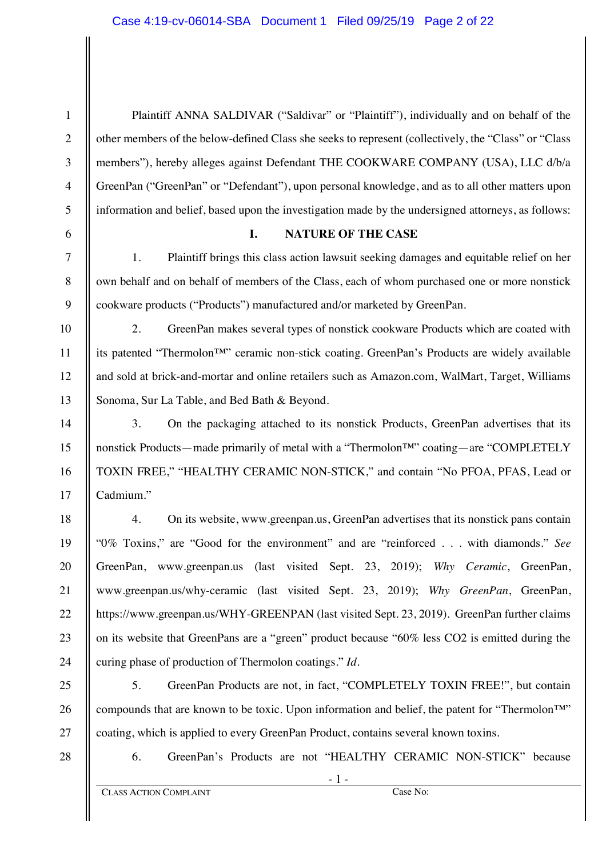- 1 - **CLASS ACTION COMPLAINT** Case No: 1 2 3 4 5 6 7 8 9 10 11 12 13 14 15 16 17 18 19 20 21 22 23 24 25 26 27 28 Plaintiff ANNA SALDIVAR ("Saldivar" or "Plaintiff"), individually and on behalf of the other members of the below-defined Class she seeks to represent (collectively, the "Class" or "Class members"), hereby alleges against Defendant THE COOKWARE COMPANY (USA), LLC d/b/a GreenPan ("GreenPan" or "Defendant"), upon personal knowledge, and as to all other matters upon information and belief, based upon the investigation made by the undersigned attorneys, as follows: **I. NATURE OF THE CASE** 1. Plaintiff brings this class action lawsuit seeking damages and equitable relief on her own behalf and on behalf of members of the Class, each of whom purchased one or more nonstick cookware products ("Products") manufactured and/or marketed by GreenPan. 2. GreenPan makes several types of nonstick cookware Products which are coated with its patented "Thermolon™" ceramic non-stick coating. GreenPan's Products are widely available and sold at brick-and-mortar and online retailers such as Amazon.com, WalMart, Target, Williams Sonoma, Sur La Table, and Bed Bath & Beyond. 3. On the packaging attached to its nonstick Products, GreenPan advertises that its nonstick Products—made primarily of metal with a "Thermolon™" coating—are "COMPLETELY TOXIN FREE," "HEALTHY CERAMIC NON-STICK," and contain "No PFOA, PFAS, Lead or Cadmium." 4. On its website, www.greenpan.us, GreenPan advertises that its nonstick pans contain "0% Toxins," are "Good for the environment" and are "reinforced . . . with diamonds." *See* GreenPan, www.greenpan.us (last visited Sept. 23, 2019); *Why Ceramic*, GreenPan, www.greenpan.us/why-ceramic (last visited Sept. 23, 2019); *Why GreenPan*, GreenPan, https://www.greenpan.us/WHY-GREENPAN (last visited Sept. 23, 2019). GreenPan further claims on its website that GreenPans are a "green" product because "60% less CO2 is emitted during the curing phase of production of Thermolon coatings." *Id.* 5. GreenPan Products are not, in fact, "COMPLETELY TOXIN FREE!", but contain compounds that are known to be toxic. Upon information and belief, the patent for "Thermolon™" coating, which is applied to every GreenPan Product, contains several known toxins. 6. GreenPan's Products are not "HEALTHY CERAMIC NON-STICK" because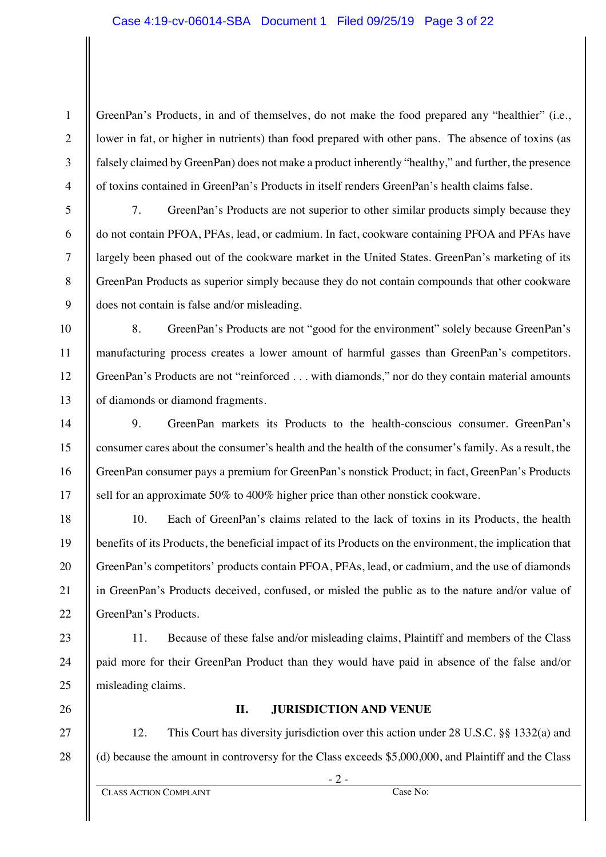GreenPan's Products, in and of themselves, do not make the food prepared any "healthier" (i.e., lower in fat, or higher in nutrients) than food prepared with other pans. The absence of toxins (as falsely claimed by GreenPan) does not make a product inherently "healthy," and further, the presence of toxins contained in GreenPan's Products in itself renders GreenPan's health claims false.

1

2

3

4

5

6

7

8

9

10

11

12

13

14

15

16

17

18

19

20

21

22

23

24

25

7. GreenPan's Products are not superior to other similar products simply because they do not contain PFOA, PFAs, lead, or cadmium. In fact, cookware containing PFOA and PFAs have largely been phased out of the cookware market in the United States. GreenPan's marketing of its GreenPan Products as superior simply because they do not contain compounds that other cookware does not contain is false and/or misleading.

8. GreenPan's Products are not "good for the environment" solely because GreenPan's manufacturing process creates a lower amount of harmful gasses than GreenPan's competitors. GreenPan's Products are not "reinforced . . . with diamonds," nor do they contain material amounts of diamonds or diamond fragments.

9. GreenPan markets its Products to the health-conscious consumer. GreenPan's consumer cares about the consumer's health and the health of the consumer's family. As a result, the GreenPan consumer pays a premium for GreenPan's nonstick Product; in fact, GreenPan's Products sell for an approximate 50% to 400% higher price than other nonstick cookware.

10. Each of GreenPan's claims related to the lack of toxins in its Products, the health benefits of its Products, the beneficial impact of its Products on the environment, the implication that GreenPan's competitors' products contain PFOA, PFAs, lead, or cadmium, and the use of diamonds in GreenPan's Products deceived, confused, or misled the public as to the nature and/or value of GreenPan's Products.

11. Because of these false and/or misleading claims, Plaintiff and members of the Class paid more for their GreenPan Product than they would have paid in absence of the false and/or misleading claims.

26

27

28

# **II. JURISDICTION AND VENUE**

12. This Court has diversity jurisdiction over this action under 28 U.S.C. §§ 1332(a) and (d) because the amount in controversy for the Class exceeds \$5,000,000, and Plaintiff and the Class

- 2 -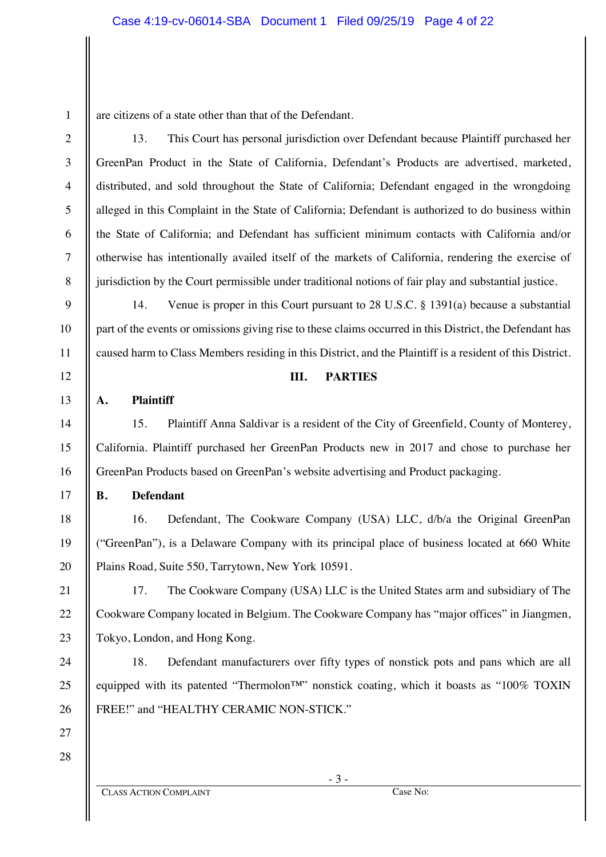are citizens of a state other than that of the Defendant.

13. This Court has personal jurisdiction over Defendant because Plaintiff purchased her GreenPan Product in the State of California, Defendant's Products are advertised, marketed, distributed, and sold throughout the State of California; Defendant engaged in the wrongdoing alleged in this Complaint in the State of California; Defendant is authorized to do business within the State of California; and Defendant has sufficient minimum contacts with California and/or otherwise has intentionally availed itself of the markets of California, rendering the exercise of jurisdiction by the Court permissible under traditional notions of fair play and substantial justice.

14. Venue is proper in this Court pursuant to 28 U.S.C. § 1391(a) because a substantial part of the events or omissions giving rise to these claims occurred in this District, the Defendant has caused harm to Class Members residing in this District, and the Plaintiff is a resident of this District.

## **III. PARTIES**

## **A. Plaintiff**

1

2

3

4

5

6

7

8

9

10

11

12

13

14

15

16

17

18

19

20

21

22

23

24

25

26

27

15. Plaintiff Anna Saldivar is a resident of the City of Greenfield, County of Monterey, California. Plaintiff purchased her GreenPan Products new in 2017 and chose to purchase her GreenPan Products based on GreenPan's website advertising and Product packaging.

### **B. Defendant**

16. Defendant, The Cookware Company (USA) LLC, d/b/a the Original GreenPan ("GreenPan"), is a Delaware Company with its principal place of business located at 660 White Plains Road, Suite 550, Tarrytown, New York 10591.

17. The Cookware Company (USA) LLC is the United States arm and subsidiary of The Cookware Company located in Belgium. The Cookware Company has "major offices" in Jiangmen, Tokyo, London, and Hong Kong.

18. Defendant manufacturers over fifty types of nonstick pots and pans which are all equipped with its patented "Thermolon™" nonstick coating, which it boasts as "100% TOXIN FREE!" and "HEALTHY CERAMIC NON-STICK."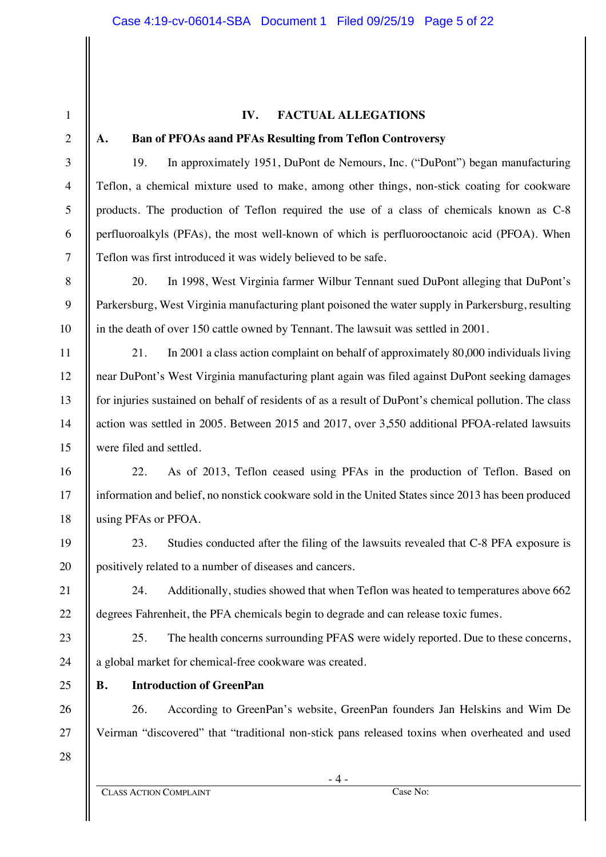## **IV. FACTUAL ALLEGATIONS**

#### **A. Ban of PFOAs aand PFAs Resulting from Teflon Controversy**

19. In approximately 1951, DuPont de Nemours, Inc. ("DuPont") began manufacturing Teflon, a chemical mixture used to make, among other things, non-stick coating for cookware products. The production of Teflon required the use of a class of chemicals known as C-8 perfluoroalkyls (PFAs), the most well-known of which is perfluorooctanoic acid (PFOA). When Teflon was first introduced it was widely believed to be safe.

20. In 1998, West Virginia farmer Wilbur Tennant sued DuPont alleging that DuPont's Parkersburg, West Virginia manufacturing plant poisoned the water supply in Parkersburg, resulting in the death of over 150 cattle owned by Tennant. The lawsuit was settled in 2001.

21. In 2001 a class action complaint on behalf of approximately 80,000 individuals living near DuPont's West Virginia manufacturing plant again was filed against DuPont seeking damages for injuries sustained on behalf of residents of as a result of DuPont's chemical pollution. The class action was settled in 2005. Between 2015 and 2017, over 3,550 additional PFOA-related lawsuits were filed and settled.

22. As of 2013, Teflon ceased using PFAs in the production of Teflon. Based on information and belief, no nonstick cookware sold in the United States since 2013 has been produced using PFAs or PFOA.

23. Studies conducted after the filing of the lawsuits revealed that C-8 PFA exposure is positively related to a number of diseases and cancers.

24. Additionally, studies showed that when Teflon was heated to temperatures above 662 degrees Fahrenheit, the PFA chemicals begin to degrade and can release toxic fumes.

25. The health concerns surrounding PFAS were widely reported. Due to these concerns, a global market for chemical-free cookware was created.

## **B. Introduction of GreenPan**

26. According to GreenPan's website, GreenPan founders Jan Helskins and Wim De Veirman "discovered" that "traditional non-stick pans released toxins when overheated and used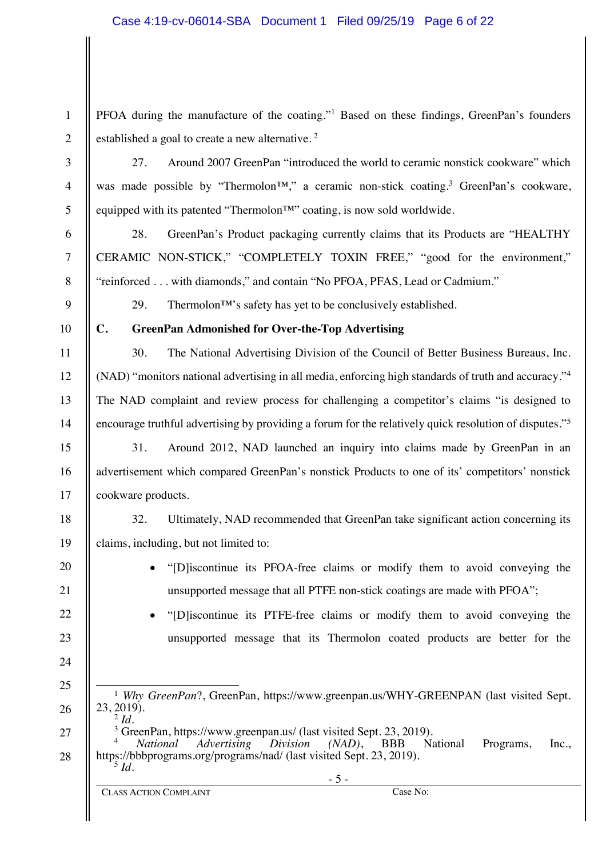PFOA during the manufacture of the coating."<sup>1</sup> Based on these findings, GreenPan's founders established a goal to create a new alternative.<sup>2</sup>

27. Around 2007 GreenPan "introduced the world to ceramic nonstick cookware" which was made possible by "Thermolon™," a ceramic non-stick coating.3 GreenPan's cookware, equipped with its patented "Thermolon™" coating, is now sold worldwide.

28. GreenPan's Product packaging currently claims that its Products are "HEALTHY CERAMIC NON-STICK," "COMPLETELY TOXIN FREE," "good for the environment," "reinforced . . . with diamonds," and contain "No PFOA, PFAS, Lead or Cadmium."

29. Thermolon<sup> $TM$ </sup>'s safety has yet to be conclusively established.

10

1

2

3

4

5

6

7

8

9

11

12

13

14

15

16

17

18

19

20

21

22

23

24

25

26

## **C. GreenPan Admonished for Over-the-Top Advertising**

30. The National Advertising Division of the Council of Better Business Bureaus, Inc. (NAD) "monitors national advertising in all media, enforcing high standards of truth and accuracy."4 The NAD complaint and review process for challenging a competitor's claims "is designed to encourage truthful advertising by providing a forum for the relatively quick resolution of disputes."5

31. Around 2012, NAD launched an inquiry into claims made by GreenPan in an advertisement which compared GreenPan's nonstick Products to one of its' competitors' nonstick cookware products.

32. Ultimately, NAD recommended that GreenPan take significant action concerning its claims, including, but not limited to:

- x "[D]iscontinue its PFOA-free claims or modify them to avoid conveying the unsupported message that all PTFE non-stick coatings are made with PFOA";
- x "[D]iscontinue its PTFE-free claims or modify them to avoid conveying the unsupported message that its Thermolon coated products are better for the
- <sup>1</sup> *Why GreenPan*?, GreenPan, https://www.greenpan.us/WHY-GREENPAN (last visited Sept.) 23, 2019).

<sup>2</sup> *Id.*

27 28  $\frac{3}{4}$  GreenPan, https://www.greenpan.us/ (last visited Sept. 23, 2019).<br> $\frac{4}{4}$  National Advertising Division (NAD), BBB National <sup>4</sup> *National Advertising Division (NAD)*, BBB National Programs, Inc., https://bbbprograms.org/programs/nad/ (last visited Sept. 23, 2019). <sup>5</sup> *Id.*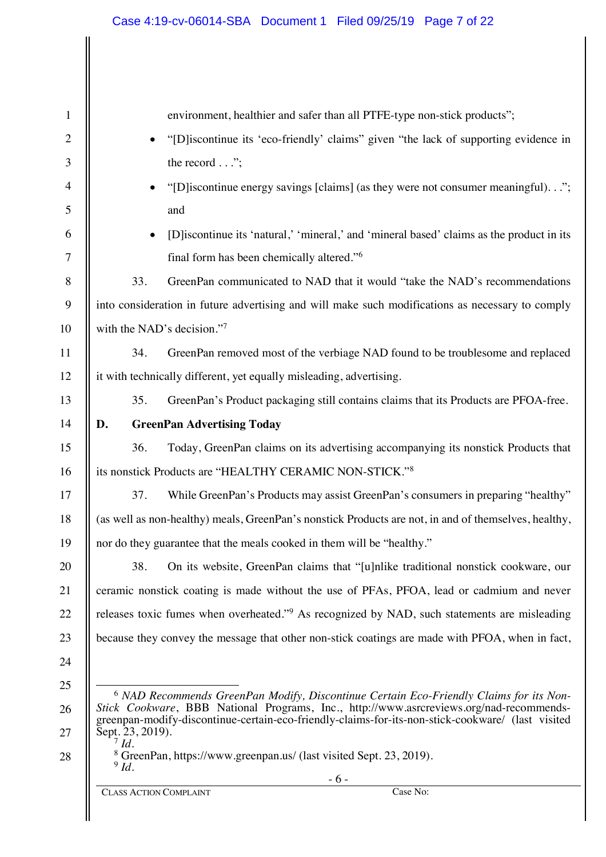| $\mathbf{1}$   | environment, healthier and safer than all PTFE-type non-stick products";                                                                                                                     |
|----------------|----------------------------------------------------------------------------------------------------------------------------------------------------------------------------------------------|
| $\overline{2}$ | "[D] iscontinue its 'eco-friendly' claims" given "the lack of supporting evidence in                                                                                                         |
| 3              | the record $\ldots$ ";                                                                                                                                                                       |
| $\overline{4}$ | "[D] iscontinue energy savings [claims] (as they were not consumer meaningful).";                                                                                                            |
| 5              | and                                                                                                                                                                                          |
| 6              | [D] iscontinue its 'natural,' 'mineral,' and 'mineral based' claims as the product in its                                                                                                    |
| 7              | final form has been chemically altered." <sup>6</sup>                                                                                                                                        |
| $\,8\,$        | 33.<br>GreenPan communicated to NAD that it would "take the NAD's recommendations                                                                                                            |
| 9              | into consideration in future advertising and will make such modifications as necessary to comply                                                                                             |
| 10             | with the NAD's decision."7                                                                                                                                                                   |
| 11             | GreenPan removed most of the verbiage NAD found to be troublesome and replaced<br>34.                                                                                                        |
| 12             | it with technically different, yet equally misleading, advertising.                                                                                                                          |
| 13             | 35.<br>GreenPan's Product packaging still contains claims that its Products are PFOA-free.                                                                                                   |
| 14             | <b>GreenPan Advertising Today</b><br>D.                                                                                                                                                      |
| 15             | Today, GreenPan claims on its advertising accompanying its nonstick Products that<br>36.                                                                                                     |
| 16             | its nonstick Products are "HEALTHY CERAMIC NON-STICK."8                                                                                                                                      |
| 17             | While GreenPan's Products may assist GreenPan's consumers in preparing "healthy"<br>37.                                                                                                      |
| 18             | (as well as non-healthy) meals, GreenPan's nonstick Products are not, in and of themselves, healthy,                                                                                         |
| 19             | nor do they guarantee that the meals cooked in them will be "healthy."                                                                                                                       |
| 20             | 38.<br>On its website, GreenPan claims that "[u]nlike traditional nonstick cookware, our                                                                                                     |
| 21             | ceramic nonstick coating is made without the use of PFAs, PFOA, lead or cadmium and never                                                                                                    |
| 22             | releases toxic fumes when overheated." <sup>9</sup> As recognized by NAD, such statements are misleading                                                                                     |
| 23             | because they convey the message that other non-stick coatings are made with PFOA, when in fact,                                                                                              |
| 24             |                                                                                                                                                                                              |
| 25             | <sup>6</sup> NAD Recommends GreenPan Modify, Discontinue Certain Eco-Friendly Claims for its Non-                                                                                            |
| 26             | Stick Cookware, BBB National Programs, Inc., http://www.asrcreviews.org/nad-recommends-<br>greenpan-modify-discontinue-certain-eco-friendly-claims-for-its-non-stick-cookware/ (last visited |
| 27             | Sept. 23, 2019).<br>$^7$ Id.                                                                                                                                                                 |
| 28             | <sup>8</sup> GreenPan, https://www.greenpan.us/ (last visited Sept. 23, 2019).<br>$9$ Id.                                                                                                    |
|                | $-6-$                                                                                                                                                                                        |

 $\overline{\phantom{a}}$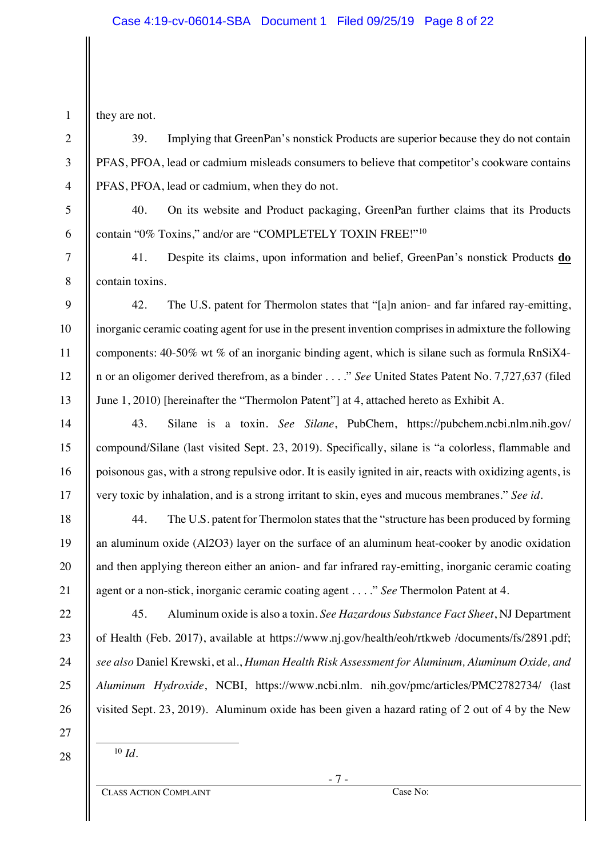they are not.

39. Implying that GreenPan's nonstick Products are superior because they do not contain PFAS, PFOA, lead or cadmium misleads consumers to believe that competitor's cookware contains PFAS, PFOA, lead or cadmium, when they do not.

40. On its website and Product packaging, GreenPan further claims that its Products contain "0% Toxins," and/or are "COMPLETELY TOXIN FREE!"10

41. Despite its claims, upon information and belief, GreenPan's nonstick Products **do** contain toxins.

42. The U.S. patent for Thermolon states that "[a]n anion- and far infared ray-emitting, inorganic ceramic coating agent for use in the present invention comprises in admixture the following components: 40-50% wt % of an inorganic binding agent, which is silane such as formula RnSiX4 n or an oligomer derived therefrom, as a binder . . . ." *See* United States Patent No. 7,727,637 (filed June 1, 2010) [hereinafter the "Thermolon Patent"] at 4, attached hereto as Exhibit A.

43. Silane is a toxin. *See Silane*, PubChem, https://pubchem.ncbi.nlm.nih.gov/ compound/Silane (last visited Sept. 23, 2019). Specifically, silane is "a colorless, flammable and poisonous gas, with a strong repulsive odor. It is easily ignited in air, reacts with oxidizing agents, is very toxic by inhalation, and is a strong irritant to skin, eyes and mucous membranes." *See id.*

44. The U.S. patent for Thermolon states that the "structure has been produced by forming an aluminum oxide (Al2O3) layer on the surface of an aluminum heat-cooker by anodic oxidation and then applying thereon either an anion- and far infrared ray-emitting, inorganic ceramic coating agent or a non-stick, inorganic ceramic coating agent . . . ." *See* Thermolon Patent at 4.

45. Aluminum oxide is also a toxin. *See Hazardous Substance Fact Sheet*, NJ Department of Health (Feb. 2017), available at https://www.nj.gov/health/eoh/rtkweb /documents/fs/2891.pdf; *see also* Daniel Krewski, et al., *Human Health Risk Assessment for Aluminum, Aluminum Oxide, and Aluminum Hydroxide*, NCBI, https://www.ncbi.nlm. nih.gov/pmc/articles/PMC2782734/ (last visited Sept. 23, 2019). Aluminum oxide has been given a hazard rating of 2 out of 4 by the New

28

<sup>10</sup> *Id.*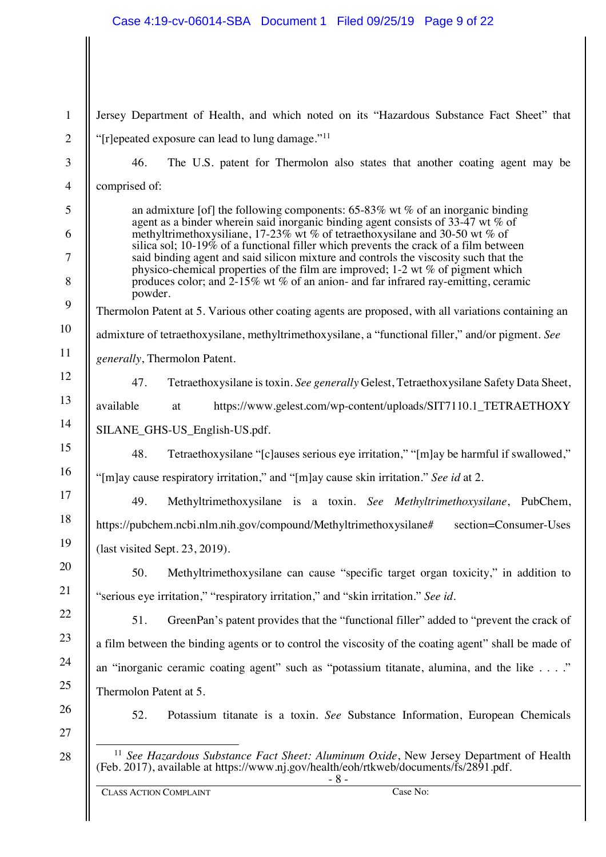#### Case 4:19-cv-06014-SBA Document 1 Filed 09/25/19 Page 9 of 22

- 8 - 1 2 3 4 5 6 7 8 9 10 11 12 13 14 15 16 17 18 19 20 21 22 23 24 25 26 27 28 Jersey Department of Health, and which noted on its "Hazardous Substance Fact Sheet" that "[r]epeated exposure can lead to lung damage." $11$ 46. The U.S. patent for Thermolon also states that another coating agent may be comprised of: an admixture [of] the following components:  $65-83\%$  wt % of an inorganic binding agent as a binder wherein said inorganic binding agent consists of 33-47 wt % of methyltrimethoxysiliane, 17-23% wt % of tetraethoxysilane and 30-50 wt % of silica sol; 10-19% of a functional filler which prevents the crack of a film between said binding agent and said silicon mixture and controls the viscosity such that the physico-chemical properties of the film are improved; 1-2 wt % of pigment which produces color; and 2-15% wt % of an anion- and far infrared ray-emitting, ceramic powder. Thermolon Patent at 5. Various other coating agents are proposed, with all variations containing an admixture of tetraethoxysilane, methyltrimethoxysilane, a "functional filler," and/or pigment. *See generally*, Thermolon Patent. 47. Tetraethoxysilane is toxin. *See generally* Gelest, Tetraethoxysilane Safety Data Sheet, available at https://www.gelest.com/wp-content/uploads/SIT7110.1 TETRAETHOXY SILANE\_GHS-US\_English-US.pdf. 48. Tetraethoxysilane "[c]auses serious eye irritation," "[m]ay be harmful if swallowed," "[m]ay cause respiratory irritation," and "[m]ay cause skin irritation." *See id* at 2. 49. Methyltrimethoxysilane is a toxin. *See Methyltrimethoxysilane*, PubChem, https://pubchem.ncbi.nlm.nih.gov/compound/Methyltrimethoxysilane# section=Consumer-Uses (last visited Sept. 23, 2019). 50. Methyltrimethoxysilane can cause "specific target organ toxicity," in addition to "serious eye irritation," "respiratory irritation," and "skin irritation." *See id.* 51. GreenPan's patent provides that the "functional filler" added to "prevent the crack of a film between the binding agents or to control the viscosity of the coating agent" shall be made of an "inorganic ceramic coating agent" such as "potassium titanate, alumina, and the like . . . ." Thermolon Patent at 5. 52. Potassium titanate is a toxin. *See* Substance Information, European Chemicals <sup>11</sup> *See Hazardous Substance Fact Sheet: Aluminum Oxide*, New Jersey Department of Health (Feb. 2017), available at https://www.nj.gov/health/eoh/rtkweb/documents/fs/2891.pdf.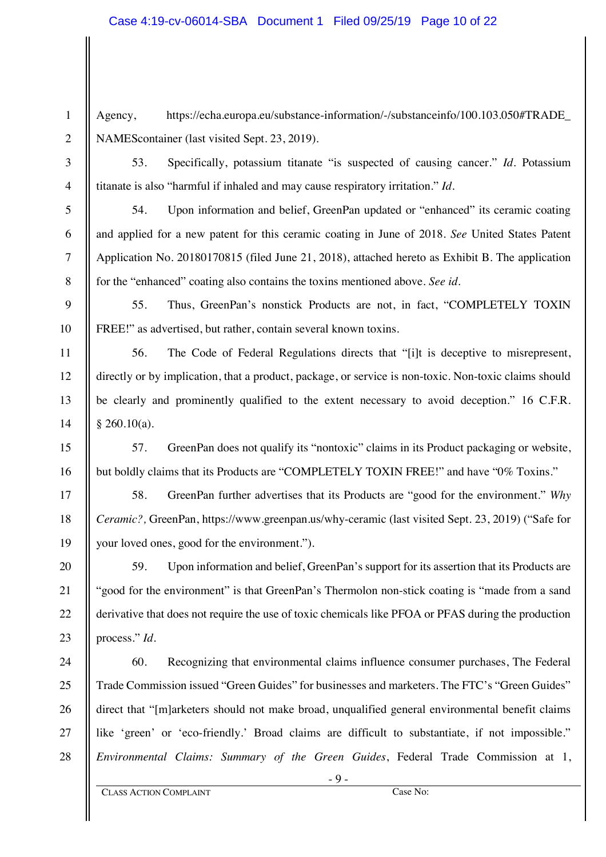Agency, https://echa.europa.eu/substance-information/-/substanceinfo/100.103.050#TRADE\_ NAMEScontainer (last visited Sept. 23, 2019).

1

2

3

4

5

6

7

8

9

10

11

12

13

14

15

16

17

18

19

20

21

22

23

53. Specifically, potassium titanate "is suspected of causing cancer." *Id.* Potassium titanate is also "harmful if inhaled and may cause respiratory irritation." *Id.*

54. Upon information and belief, GreenPan updated or "enhanced" its ceramic coating and applied for a new patent for this ceramic coating in June of 2018. *See* United States Patent Application No. 20180170815 (filed June 21, 2018), attached hereto as Exhibit B. The application for the "enhanced" coating also contains the toxins mentioned above. *See id.*

55. Thus, GreenPan's nonstick Products are not, in fact, "COMPLETELY TOXIN FREE!" as advertised, but rather, contain several known toxins.

56. The Code of Federal Regulations directs that "[i]t is deceptive to misrepresent, directly or by implication, that a product, package, or service is non-toxic. Non-toxic claims should be clearly and prominently qualified to the extent necessary to avoid deception." 16 C.F.R.  $§$  260.10(a).

57. GreenPan does not qualify its "nontoxic" claims in its Product packaging or website, but boldly claims that its Products are "COMPLETELY TOXIN FREE!" and have "0% Toxins."

58. GreenPan further advertises that its Products are "good for the environment." *Why Ceramic?,* GreenPan, https://www.greenpan.us/why-ceramic (last visited Sept. 23, 2019) ("Safe for your loved ones, good for the environment.").

59. Upon information and belief, GreenPan's support for its assertion that its Products are "good for the environment" is that GreenPan's Thermolon non-stick coating is "made from a sand derivative that does not require the use of toxic chemicals like PFOA or PFAS during the production process." *Id.*

24 25 26 27 28 60. Recognizing that environmental claims influence consumer purchases, The Federal Trade Commission issued "Green Guides" for businesses and marketers. The FTC's "Green Guides" direct that "[m]arketers should not make broad, unqualified general environmental benefit claims like 'green' or 'eco-friendly.' Broad claims are difficult to substantiate, if not impossible." *Environmental Claims: Summary of the Green Guides*, Federal Trade Commission at 1,

- 9 -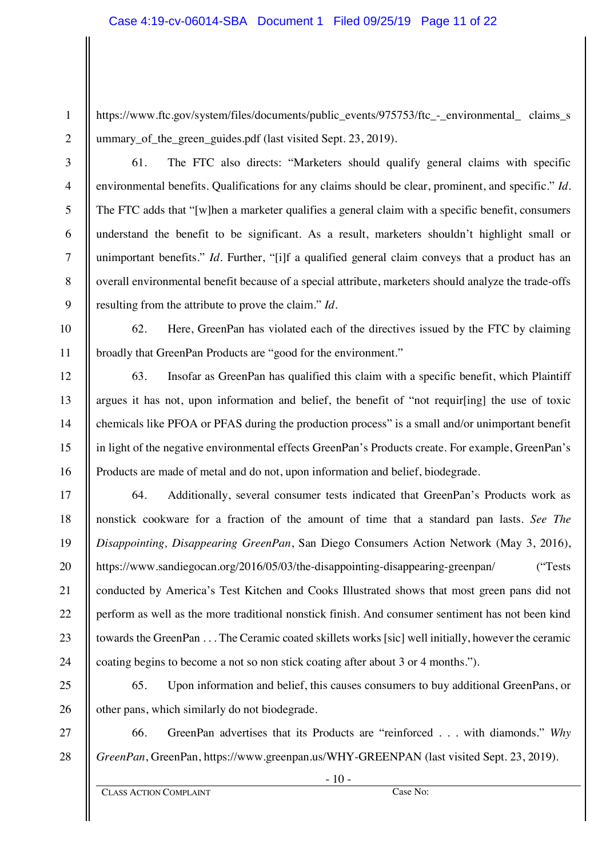https://www.ftc.gov/system/files/documents/public\_events/975753/ftc\_-\_environmental\_ claims\_s ummary\_of\_the\_green\_guides.pdf (last visited Sept. 23, 2019).

2

3

4

5

6

7

8

9

10

11

12

13

14

15

16

17

18

19

20

21

22

23

24

25

26

27

28

1

61. The FTC also directs: "Marketers should qualify general claims with specific environmental benefits. Qualifications for any claims should be clear, prominent, and specific." *Id.* The FTC adds that "[w]hen a marketer qualifies a general claim with a specific benefit, consumers understand the benefit to be significant. As a result, marketers shouldn't highlight small or unimportant benefits." *Id.* Further, "[i]f a qualified general claim conveys that a product has an overall environmental benefit because of a special attribute, marketers should analyze the trade-offs resulting from the attribute to prove the claim." *Id.*

62. Here, GreenPan has violated each of the directives issued by the FTC by claiming broadly that GreenPan Products are "good for the environment."

63. Insofar as GreenPan has qualified this claim with a specific benefit, which Plaintiff argues it has not, upon information and belief, the benefit of "not requir[ing] the use of toxic chemicals like PFOA or PFAS during the production process" is a small and/or unimportant benefit in light of the negative environmental effects GreenPan's Products create. For example, GreenPan's Products are made of metal and do not, upon information and belief, biodegrade.

64. Additionally, several consumer tests indicated that GreenPan's Products work as nonstick cookware for a fraction of the amount of time that a standard pan lasts. *See The Disappointing, Disappearing GreenPan*, San Diego Consumers Action Network (May 3, 2016), https://www.sandiegocan.org/2016/05/03/the-disappointing-disappearing-greenpan/ ("Tests conducted by America's Test Kitchen and Cooks Illustrated shows that most green pans did not perform as well as the more traditional nonstick finish. And consumer sentiment has not been kind towards the GreenPan . . . The Ceramic coated skillets works [sic] well initially, however the ceramic coating begins to become a not so non stick coating after about 3 or 4 months.").

65. Upon information and belief, this causes consumers to buy additional GreenPans, or other pans, which similarly do not biodegrade.

66. GreenPan advertises that its Products are "reinforced . . . with diamonds." *Why GreenPan*, GreenPan, https://www.greenpan.us/WHY-GREENPAN (last visited Sept. 23, 2019).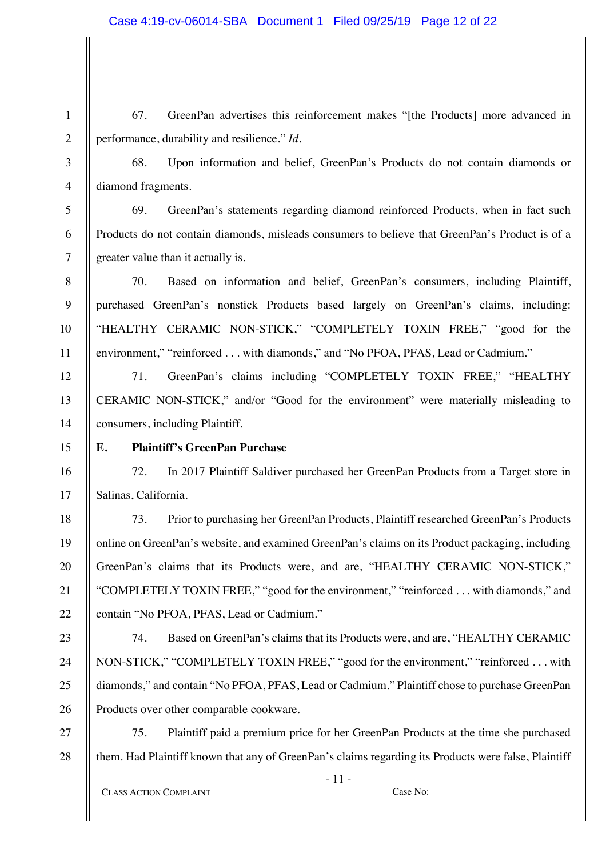67. GreenPan advertises this reinforcement makes "[the Products] more advanced in performance, durability and resilience." *Id*.

1

2

3

4

5

6

7

8

9

10

11

12

13

14

15

16

17

18

19

20

21

22

23

24

25

26

68. Upon information and belief, GreenPan's Products do not contain diamonds or diamond fragments.

69. GreenPan's statements regarding diamond reinforced Products, when in fact such Products do not contain diamonds, misleads consumers to believe that GreenPan's Product is of a greater value than it actually is.

70. Based on information and belief, GreenPan's consumers, including Plaintiff, purchased GreenPan's nonstick Products based largely on GreenPan's claims, including: "HEALTHY CERAMIC NON-STICK," "COMPLETELY TOXIN FREE," "good for the environment," "reinforced . . . with diamonds," and "No PFOA, PFAS, Lead or Cadmium."

71. GreenPan's claims including "COMPLETELY TOXIN FREE," "HEALTHY CERAMIC NON-STICK," and/or "Good for the environment" were materially misleading to consumers, including Plaintiff.

# **E. Plaintiff's GreenPan Purchase**

72. In 2017 Plaintiff Saldiver purchased her GreenPan Products from a Target store in Salinas, California.

73. Prior to purchasing her GreenPan Products, Plaintiff researched GreenPan's Products online on GreenPan's website, and examined GreenPan's claims on its Product packaging, including GreenPan's claims that its Products were, and are, "HEALTHY CERAMIC NON-STICK," "COMPLETELY TOXIN FREE," "good for the environment," "reinforced . . . with diamonds," and contain "No PFOA, PFAS, Lead or Cadmium."

74. Based on GreenPan's claims that its Products were, and are, "HEALTHY CERAMIC NON-STICK," "COMPLETELY TOXIN FREE," "good for the environment," "reinforced . . . with diamonds," and contain "No PFOA, PFAS, Lead or Cadmium." Plaintiff chose to purchase GreenPan Products over other comparable cookware.

27 28 75. Plaintiff paid a premium price for her GreenPan Products at the time she purchased them. Had Plaintiff known that any of GreenPan's claims regarding its Products were false, Plaintiff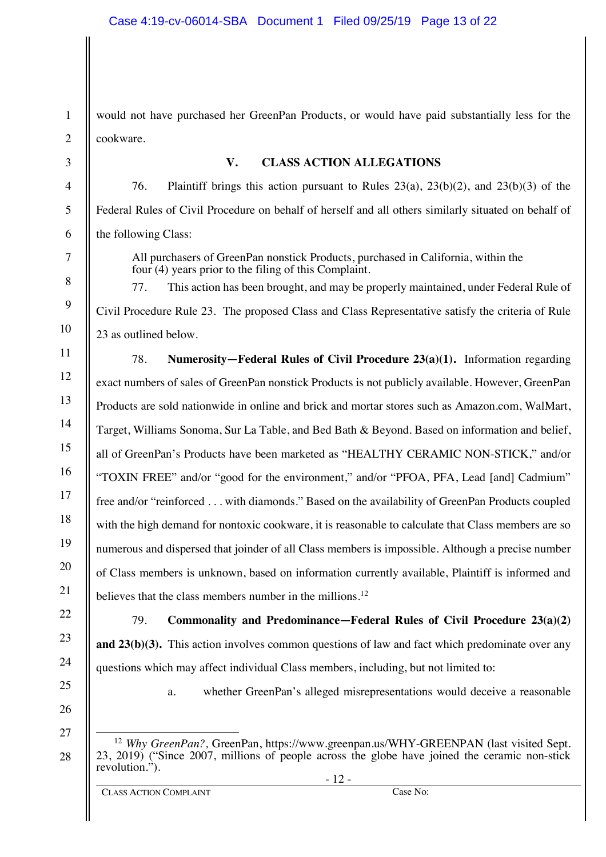1 2 3 4 5 6 7 8 9 10 11 12 13 14 15 16 17 18 19 20 21 22 23 24 25 26 27 28 would not have purchased her GreenPan Products, or would have paid substantially less for the cookware. **V. CLASS ACTION ALLEGATIONS** 76. Plaintiff brings this action pursuant to Rules 23(a), 23(b)(2), and 23(b)(3) of the Federal Rules of Civil Procedure on behalf of herself and all others similarly situated on behalf of the following Class: All purchasers of GreenPan nonstick Products, purchased in California, within the four (4) years prior to the filing of this Complaint. 77. This action has been brought, and may be properly maintained, under Federal Rule of Civil Procedure Rule 23. The proposed Class and Class Representative satisfy the criteria of Rule 23 as outlined below. 78. **Numerosity—Federal Rules of Civil Procedure 23(a)(1).** Information regarding exact numbers of sales of GreenPan nonstick Products is not publicly available. However, GreenPan Products are sold nationwide in online and brick and mortar stores such as Amazon.com, WalMart, Target, Williams Sonoma, Sur La Table, and Bed Bath & Beyond. Based on information and belief, all of GreenPan's Products have been marketed as "HEALTHY CERAMIC NON-STICK," and/or "TOXIN FREE" and/or "good for the environment," and/or "PFOA, PFA, Lead [and] Cadmium" free and/or "reinforced . . . with diamonds." Based on the availability of GreenPan Products coupled with the high demand for nontoxic cookware, it is reasonable to calculate that Class members are so numerous and dispersed that joinder of all Class members is impossible. Although a precise number of Class members is unknown, based on information currently available, Plaintiff is informed and believes that the class members number in the millions.<sup>12</sup> 79. **Commonality and Predominance—Federal Rules of Civil Procedure 23(a)(2) and 23(b)(3).** This action involves common questions of law and fact which predominate over any questions which may affect individual Class members, including, but not limited to: a. whether GreenPan's alleged misrepresentations would deceive a reasonable <sup>12</sup> *Why GreenPan?*, GreenPan, https://www.greenpan.us/WHY-GREENPAN (last visited Sept. 23, 2019) ("Since 2007, millions of people across the globe have joined the ceramic non-stick revolution.").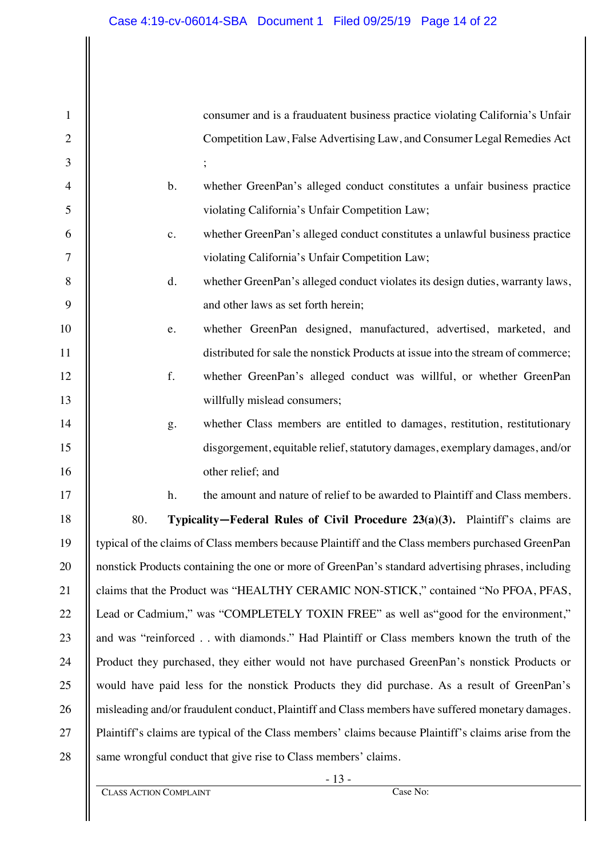1 2 3 4 5 6 7 8 9 10 11 12 13 14 15 16 17 18 19 20 21 22 23 24 25 26 27 28 consumer and is a frauduatent business practice violating California's Unfair Competition Law, False Advertising Law, and Consumer Legal Remedies Act ; b. whether GreenPan's alleged conduct constitutes a unfair business practice violating California's Unfair Competition Law; c. whether GreenPan's alleged conduct constitutes a unlawful business practice violating California's Unfair Competition Law; d. whether GreenPan's alleged conduct violates its design duties, warranty laws, and other laws as set forth herein; e. whether GreenPan designed, manufactured, advertised, marketed, and distributed for sale the nonstick Products at issue into the stream of commerce; f. whether GreenPan's alleged conduct was willful, or whether GreenPan willfully mislead consumers; g. whether Class members are entitled to damages, restitution, restitutionary disgorgement, equitable relief, statutory damages, exemplary damages, and/or other relief; and h. the amount and nature of relief to be awarded to Plaintiff and Class members. 80. **Typicality—Federal Rules of Civil Procedure 23(a)(3).** Plaintiff's claims are typical of the claims of Class members because Plaintiff and the Class members purchased GreenPan nonstick Products containing the one or more of GreenPan's standard advertising phrases, including claims that the Product was "HEALTHY CERAMIC NON-STICK," contained "No PFOA, PFAS, Lead or Cadmium," was "COMPLETELY TOXIN FREE" as well as "good for the environment," and was "reinforced . . with diamonds." Had Plaintiff or Class members known the truth of the Product they purchased, they either would not have purchased GreenPan's nonstick Products or would have paid less for the nonstick Products they did purchase. As a result of GreenPan's misleading and/or fraudulent conduct, Plaintiff and Class members have suffered monetary damages. Plaintiff's claims are typical of the Class members' claims because Plaintiff's claims arise from the same wrongful conduct that give rise to Class members' claims.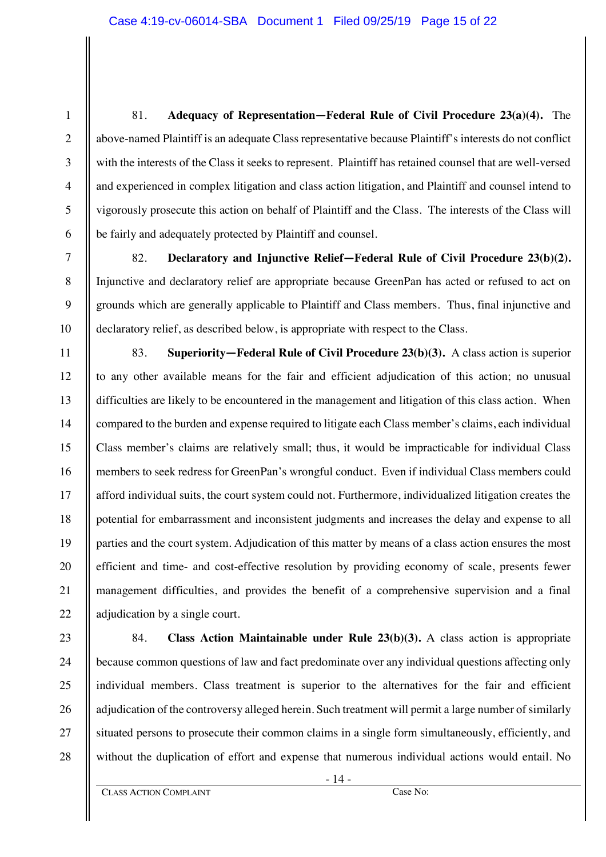81. **Adequacy of Representation—Federal Rule of Civil Procedure 23(a)(4).** The above-named Plaintiff is an adequate Class representative because Plaintiff's interests do not conflict with the interests of the Class it seeks to represent. Plaintiff has retained counsel that are well-versed and experienced in complex litigation and class action litigation, and Plaintiff and counsel intend to vigorously prosecute this action on behalf of Plaintiff and the Class. The interests of the Class will be fairly and adequately protected by Plaintiff and counsel.

82. **Declaratory and Injunctive Relief—Federal Rule of Civil Procedure 23(b)(2).** Injunctive and declaratory relief are appropriate because GreenPan has acted or refused to act on grounds which are generally applicable to Plaintiff and Class members. Thus, final injunctive and declaratory relief, as described below, is appropriate with respect to the Class.

12 13 14 15 16 22 83. **Superiority—Federal Rule of Civil Procedure 23(b)(3).** A class action is superior to any other available means for the fair and efficient adjudication of this action; no unusual difficulties are likely to be encountered in the management and litigation of this class action. When compared to the burden and expense required to litigate each Class member's claims, each individual Class member's claims are relatively small; thus, it would be impracticable for individual Class members to seek redress for GreenPan's wrongful conduct. Even if individual Class members could afford individual suits, the court system could not. Furthermore, individualized litigation creates the potential for embarrassment and inconsistent judgments and increases the delay and expense to all parties and the court system. Adjudication of this matter by means of a class action ensures the most efficient and time- and cost-effective resolution by providing economy of scale, presents fewer management difficulties, and provides the benefit of a comprehensive supervision and a final adjudication by a single court.

84. **Class Action Maintainable under Rule 23(b)(3).** A class action is appropriate because common questions of law and fact predominate over any individual questions affecting only individual members. Class treatment is superior to the alternatives for the fair and efficient adjudication of the controversy alleged herein. Such treatment will permit a large number of similarly situated persons to prosecute their common claims in a single form simultaneously, efficiently, and without the duplication of effort and expense that numerous individual actions would entail. No

1

2

3

4

5

6

7

8

9

10

11

17

18

19

20

21

23

24

25

26

27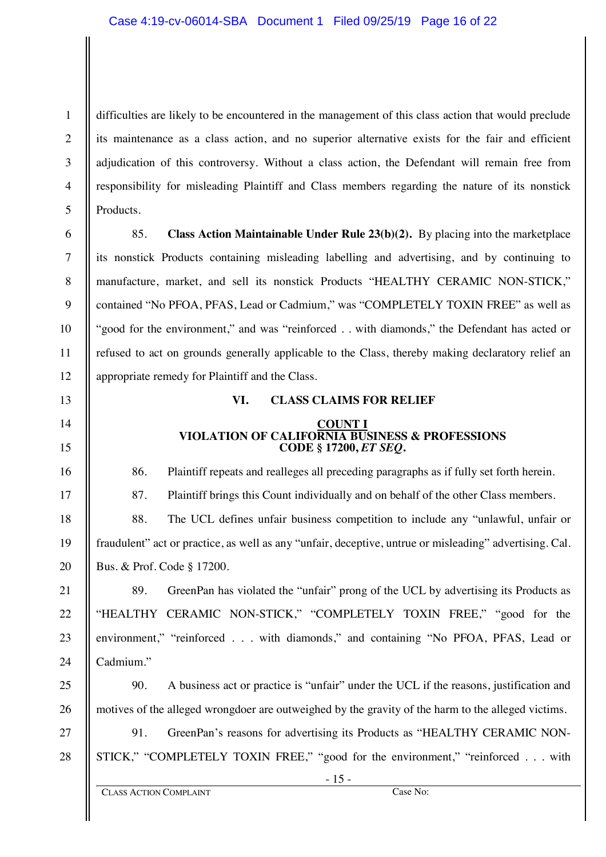1 2 3 4 5 difficulties are likely to be encountered in the management of this class action that would preclude its maintenance as a class action, and no superior alternative exists for the fair and efficient adjudication of this controversy. Without a class action, the Defendant will remain free from responsibility for misleading Plaintiff and Class members regarding the nature of its nonstick Products.

6 7 8

9

10

11

12

13

14

15

16

17

18

19

20

21

22

23

24

25

26

27

28

85. **Class Action Maintainable Under Rule 23(b)(2).** By placing into the marketplace its nonstick Products containing misleading labelling and advertising, and by continuing to manufacture, market, and sell its nonstick Products "HEALTHY CERAMIC NON-STICK," contained "No PFOA, PFAS, Lead or Cadmium," was "COMPLETELY TOXIN FREE" as well as "good for the environment," and was "reinforced . . with diamonds," the Defendant has acted or refused to act on grounds generally applicable to the Class, thereby making declaratory relief an appropriate remedy for Plaintiff and the Class.

#### **VI. CLASS CLAIMS FOR RELIEF**

#### **COUNT I VIOLATION OF CALIFORNIA BUSINESS & PROFESSIONS CODE § 17200,** *ET SEQ***.**

86. Plaintiff repeats and realleges all preceding paragraphs as if fully set forth herein.

87. Plaintiff brings this Count individually and on behalf of the other Class members.

88. The UCL defines unfair business competition to include any "unlawful, unfair or fraudulent" act or practice, as well as any "unfair, deceptive, untrue or misleading" advertising. Cal. Bus. & Prof. Code § 17200.

89. GreenPan has violated the "unfair" prong of the UCL by advertising its Products as "HEALTHY CERAMIC NON-STICK," "COMPLETELY TOXIN FREE," "good for the environment," "reinforced . . . with diamonds," and containing "No PFOA, PFAS, Lead or Cadmium."

90. A business act or practice is "unfair" under the UCL if the reasons, justification and motives of the alleged wrongdoer are outweighed by the gravity of the harm to the alleged victims.

91. GreenPan's reasons for advertising its Products as "HEALTHY CERAMIC NON-STICK," "COMPLETELY TOXIN FREE," "good for the environment," "reinforced . . . with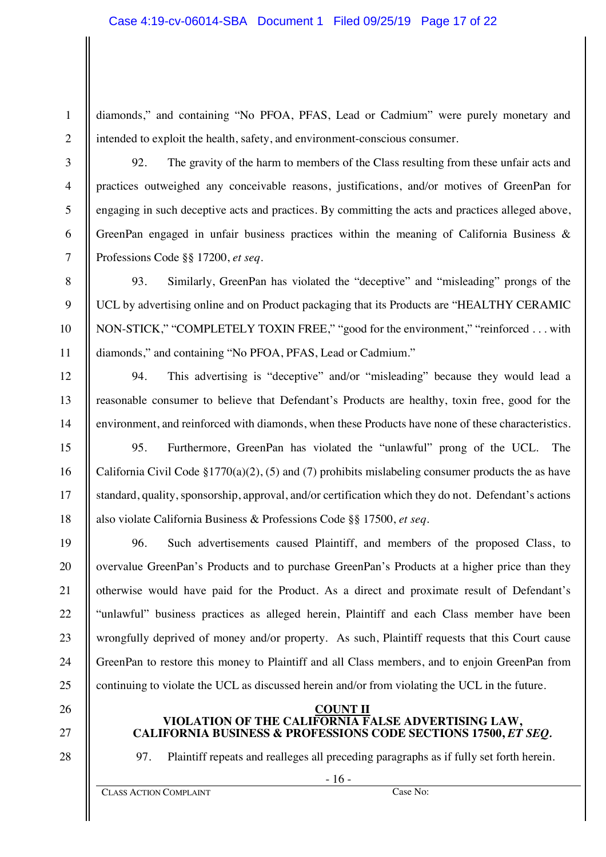1

3

4

5

6

7

8

9

10

11

12

13

14

15

16

17

18

19

20

21

22

23

24

25

26

diamonds," and containing "No PFOA, PFAS, Lead or Cadmium" were purely monetary and intended to exploit the health, safety, and environment-conscious consumer.

92. The gravity of the harm to members of the Class resulting from these unfair acts and practices outweighed any conceivable reasons, justifications, and/or motives of GreenPan for engaging in such deceptive acts and practices. By committing the acts and practices alleged above, GreenPan engaged in unfair business practices within the meaning of California Business & Professions Code §§ 17200, *et seq*.

93. Similarly, GreenPan has violated the "deceptive" and "misleading" prongs of the UCL by advertising online and on Product packaging that its Products are "HEALTHY CERAMIC NON-STICK," "COMPLETELY TOXIN FREE," "good for the environment," "reinforced . . . with diamonds," and containing "No PFOA, PFAS, Lead or Cadmium."

94. This advertising is "deceptive" and/or "misleading" because they would lead a reasonable consumer to believe that Defendant's Products are healthy, toxin free, good for the environment, and reinforced with diamonds, when these Products have none of these characteristics.

95. Furthermore, GreenPan has violated the "unlawful" prong of the UCL. The California Civil Code §1770(a)(2), (5) and (7) prohibits mislabeling consumer products the as have standard, quality, sponsorship, approval, and/or certification which they do not. Defendant's actions also violate California Business & Professions Code §§ 17500, *et seq*.

96. Such advertisements caused Plaintiff, and members of the proposed Class, to overvalue GreenPan's Products and to purchase GreenPan's Products at a higher price than they otherwise would have paid for the Product. As a direct and proximate result of Defendant's "unlawful" business practices as alleged herein, Plaintiff and each Class member have been wrongfully deprived of money and/or property. As such, Plaintiff requests that this Court cause GreenPan to restore this money to Plaintiff and all Class members, and to enjoin GreenPan from continuing to violate the UCL as discussed herein and/or from violating the UCL in the future.

#### **COUNT II VIOLATION OF THE CALIFORNIA FALSE ADVERTISING LAW, CALIFORNIA BUSINESS & PROFESSIONS CODE SECTIONS 17500,** *ET SEQ.*

28

27

97. Plaintiff repeats and realleges all preceding paragraphs as if fully set forth herein.

- 16 -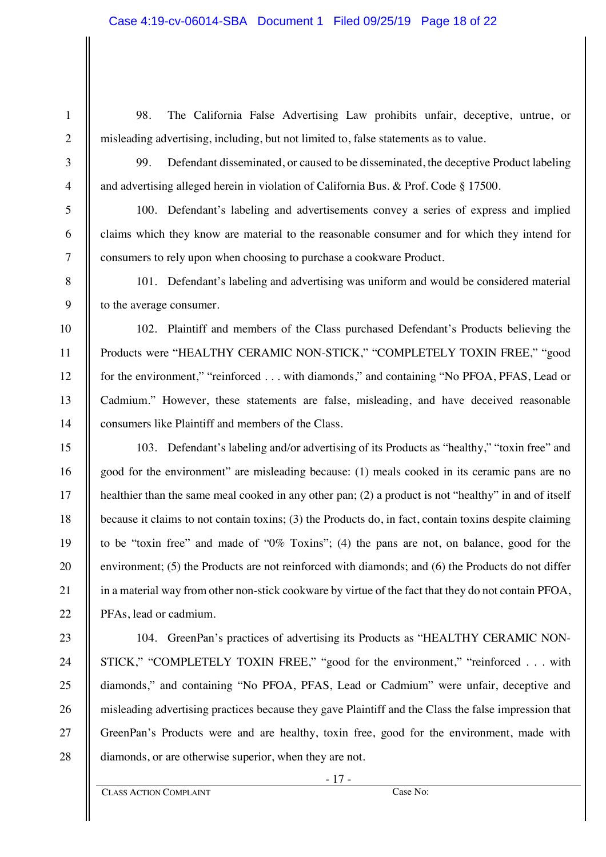98. The California False Advertising Law prohibits unfair, deceptive, untrue, or misleading advertising, including, but not limited to, false statements as to value.

1

2

3

4

5

6

7

8

9

10

11

12

13

14

15

16

17

18

19

20

21

22

23

24

25

26

27

28

99. Defendant disseminated, or caused to be disseminated, the deceptive Product labeling and advertising alleged herein in violation of California Bus. & Prof. Code § 17500.

100. Defendant's labeling and advertisements convey a series of express and implied claims which they know are material to the reasonable consumer and for which they intend for consumers to rely upon when choosing to purchase a cookware Product.

101. Defendant's labeling and advertising was uniform and would be considered material to the average consumer.

102. Plaintiff and members of the Class purchased Defendant's Products believing the Products were "HEALTHY CERAMIC NON-STICK," "COMPLETELY TOXIN FREE," "good for the environment," "reinforced . . . with diamonds," and containing "No PFOA, PFAS, Lead or Cadmium." However, these statements are false, misleading, and have deceived reasonable consumers like Plaintiff and members of the Class.

103. Defendant's labeling and/or advertising of its Products as "healthy," "toxin free" and good for the environment" are misleading because: (1) meals cooked in its ceramic pans are no healthier than the same meal cooked in any other pan; (2) a product is not "healthy" in and of itself because it claims to not contain toxins; (3) the Products do, in fact, contain toxins despite claiming to be "toxin free" and made of "0% Toxins"; (4) the pans are not, on balance, good for the environment; (5) the Products are not reinforced with diamonds; and (6) the Products do not differ in a material way from other non-stick cookware by virtue of the fact that they do not contain PFOA, PFAs, lead or cadmium.

104. GreenPan's practices of advertising its Products as "HEALTHY CERAMIC NON-STICK," "COMPLETELY TOXIN FREE," "good for the environment," "reinforced . . . with diamonds," and containing "No PFOA, PFAS, Lead or Cadmium" were unfair, deceptive and misleading advertising practices because they gave Plaintiff and the Class the false impression that GreenPan's Products were and are healthy, toxin free, good for the environment, made with diamonds, or are otherwise superior, when they are not.

 $-17 -$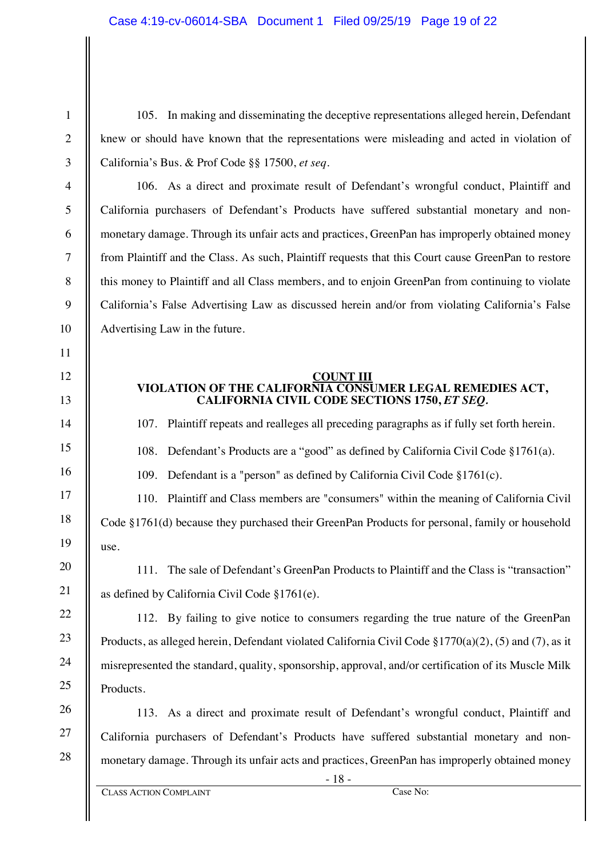105. In making and disseminating the deceptive representations alleged herein, Defendant knew or should have known that the representations were misleading and acted in violation of California's Bus. & Prof Code §§ 17500, *et seq.*

106. As a direct and proximate result of Defendant's wrongful conduct, Plaintiff and California purchasers of Defendant's Products have suffered substantial monetary and nonmonetary damage. Through its unfair acts and practices, GreenPan has improperly obtained money from Plaintiff and the Class. As such, Plaintiff requests that this Court cause GreenPan to restore this money to Plaintiff and all Class members, and to enjoin GreenPan from continuing to violate California's False Advertising Law as discussed herein and/or from violating California's False Advertising Law in the future.

#### **COUNT III**

### **VIOLATION OF THE CALIFORNIA CONSUMER LEGAL REMEDIES ACT, CALIFORNIA CIVIL CODE SECTIONS 1750,** *ET SEQ.*

107. Plaintiff repeats and realleges all preceding paragraphs as if fully set forth herein.

108. Defendant's Products are a "good" as defined by California Civil Code §1761(a).

109. Defendant is a "person" as defined by California Civil Code §1761(c).

110. Plaintiff and Class members are "consumers" within the meaning of California Civil Code §1761(d) because they purchased their GreenPan Products for personal, family or household use.

111. The sale of Defendant's GreenPan Products to Plaintiff and the Class is "transaction" as defined by California Civil Code §1761(e).

112. By failing to give notice to consumers regarding the true nature of the GreenPan Products, as alleged herein, Defendant violated California Civil Code §1770(a)(2), (5) and (7), as it misrepresented the standard, quality, sponsorship, approval, and/or certification of its Muscle Milk Products.

113. As a direct and proximate result of Defendant's wrongful conduct, Plaintiff and California purchasers of Defendant's Products have suffered substantial monetary and nonmonetary damage. Through its unfair acts and practices, GreenPan has improperly obtained money

1

2

3

4

5

6

7

8

9

10

11

12

13

14

15

16

17

18

19

20

21

22

23

24

25

26

27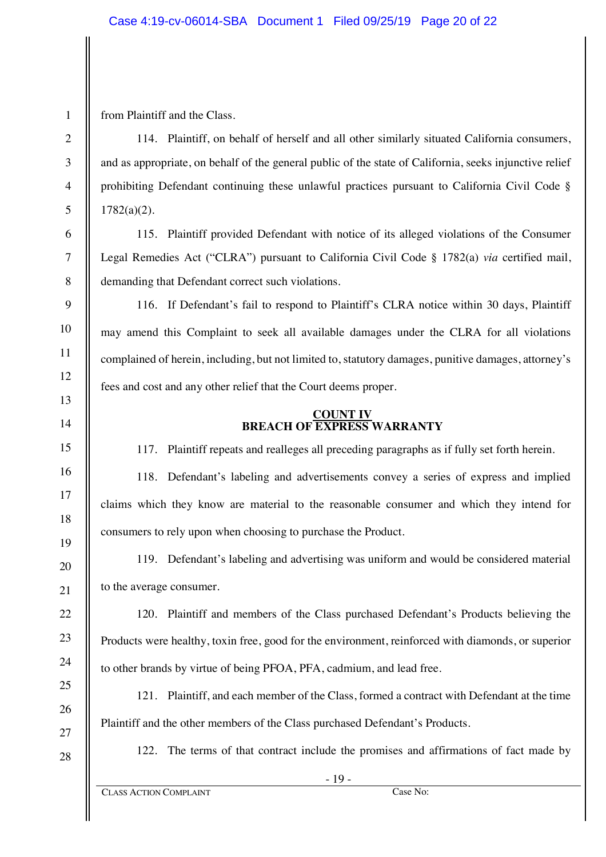from Plaintiff and the Class.

114. Plaintiff, on behalf of herself and all other similarly situated California consumers, and as appropriate, on behalf of the general public of the state of California, seeks injunctive relief prohibiting Defendant continuing these unlawful practices pursuant to California Civil Code § 1782(a)(2).

115. Plaintiff provided Defendant with notice of its alleged violations of the Consumer Legal Remedies Act ("CLRA") pursuant to California Civil Code § 1782(a) *via* certified mail, demanding that Defendant correct such violations.

116. If Defendant's fail to respond to Plaintiff's CLRA notice within 30 days, Plaintiff may amend this Complaint to seek all available damages under the CLRA for all violations complained of herein, including, but not limited to, statutory damages, punitive damages, attorney's fees and cost and any other relief that the Court deems proper.

### **COUNT IV BREACH OF EXPRESS WARRANTY**

117. Plaintiff repeats and realleges all preceding paragraphs as if fully set forth herein.

118. Defendant's labeling and advertisements convey a series of express and implied claims which they know are material to the reasonable consumer and which they intend for consumers to rely upon when choosing to purchase the Product.

119. Defendant's labeling and advertising was uniform and would be considered material to the average consumer.

120. Plaintiff and members of the Class purchased Defendant's Products believing the Products were healthy, toxin free, good for the environment, reinforced with diamonds, or superior to other brands by virtue of being PFOA, PFA, cadmium, and lead free.

121. Plaintiff, and each member of the Class, formed a contract with Defendant at the time Plaintiff and the other members of the Class purchased Defendant's Products.

122. The terms of that contract include the promises and affirmations of fact made by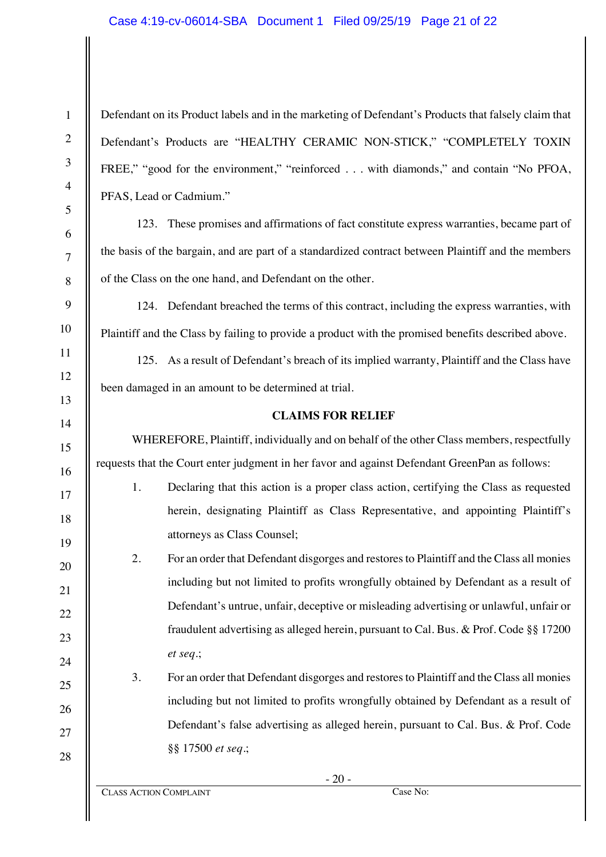Defendant on its Product labels and in the marketing of Defendant's Products that falsely claim that Defendant's Products are "HEALTHY CERAMIC NON-STICK," "COMPLETELY TOXIN FREE," "good for the environment," "reinforced . . . with diamonds," and contain "No PFOA, PFAS, Lead or Cadmium."

123. These promises and affirmations of fact constitute express warranties, became part of the basis of the bargain, and are part of a standardized contract between Plaintiff and the members of the Class on the one hand, and Defendant on the other.

124. Defendant breached the terms of this contract, including the express warranties, with Plaintiff and the Class by failing to provide a product with the promised benefits described above.

125. As a result of Defendant's breach of its implied warranty, Plaintiff and the Class have been damaged in an amount to be determined at trial.

#### **CLAIMS FOR RELIEF**

WHEREFORE, Plaintiff, individually and on behalf of the other Class members, respectfully requests that the Court enter judgment in her favor and against Defendant GreenPan as follows:

1. Declaring that this action is a proper class action, certifying the Class as requested herein, designating Plaintiff as Class Representative, and appointing Plaintiff's attorneys as Class Counsel;

2. For an order that Defendant disgorges and restores to Plaintiff and the Class all monies including but not limited to profits wrongfully obtained by Defendant as a result of Defendant's untrue, unfair, deceptive or misleading advertising or unlawful, unfair or fraudulent advertising as alleged herein, pursuant to Cal. Bus. & Prof. Code §§ 17200 *et seq.*;

3. For an order that Defendant disgorges and restores to Plaintiff and the Class all monies including but not limited to profits wrongfully obtained by Defendant as a result of Defendant's false advertising as alleged herein, pursuant to Cal. Bus. & Prof. Code §§ 17500 *et seq.*;

1

2

3

4

5

6

7

8

9

10

11

12

13

14

15

16

17

18

19

20

21

22

23

24

25

26

27